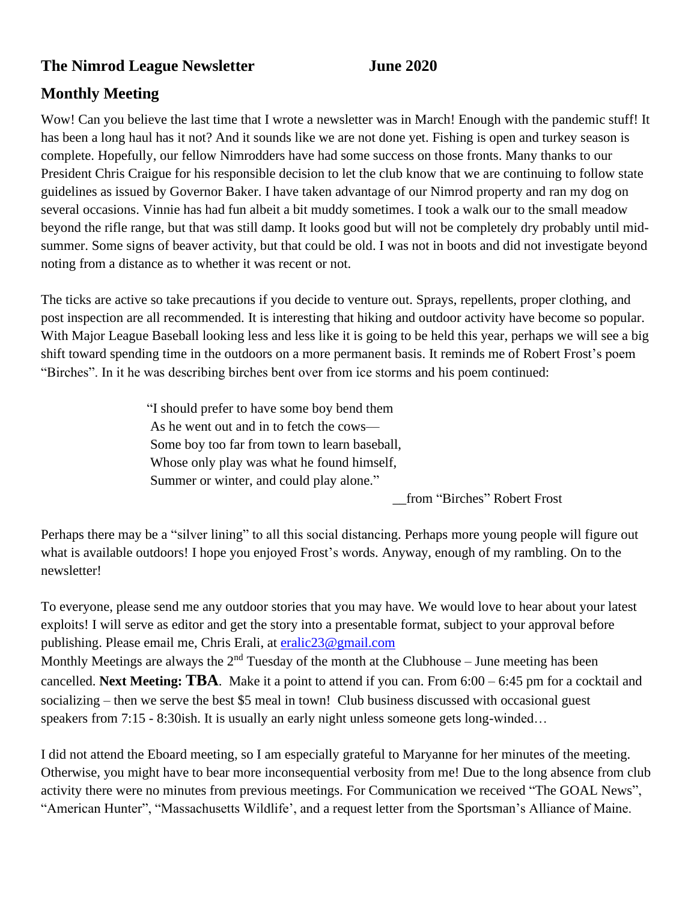#### **The Nimrod League Newsletter June 2020**

#### **Monthly Meeting**

Wow! Can you believe the last time that I wrote a newsletter was in March! Enough with the pandemic stuff! It has been a long haul has it not? And it sounds like we are not done yet. Fishing is open and turkey season is complete. Hopefully, our fellow Nimrodders have had some success on those fronts. Many thanks to our President Chris Craigue for his responsible decision to let the club know that we are continuing to follow state guidelines as issued by Governor Baker. I have taken advantage of our Nimrod property and ran my dog on several occasions. Vinnie has had fun albeit a bit muddy sometimes. I took a walk our to the small meadow beyond the rifle range, but that was still damp. It looks good but will not be completely dry probably until midsummer. Some signs of beaver activity, but that could be old. I was not in boots and did not investigate beyond noting from a distance as to whether it was recent or not.

The ticks are active so take precautions if you decide to venture out. Sprays, repellents, proper clothing, and post inspection are all recommended. It is interesting that hiking and outdoor activity have become so popular. With Major League Baseball looking less and less like it is going to be held this year, perhaps we will see a big shift toward spending time in the outdoors on a more permanent basis. It reminds me of Robert Frost's poem "Birches". In it he was describing birches bent over from ice storms and his poem continued:

> "I should prefer to have some boy bend them As he went out and in to fetch the cows— Some boy too far from town to learn baseball, Whose only play was what he found himself, Summer or winter, and could play alone."

> > \_\_from "Birches" Robert Frost

Perhaps there may be a "silver lining" to all this social distancing. Perhaps more young people will figure out what is available outdoors! I hope you enjoyed Frost's words. Anyway, enough of my rambling. On to the newsletter!

To everyone, please send me any outdoor stories that you may have. We would love to hear about your latest exploits! I will serve as editor and get the story into a presentable format, subject to your approval before publishing. Please email me, Chris Erali, at [eralic23@gmail.com](mailto:eralic23@gmail.com) Monthly Meetings are always the  $2<sup>nd</sup>$  Tuesday of the month at the Clubhouse – June meeting has been

cancelled. **Next Meeting: TBA**. Make it a point to attend if you can. From 6:00 – 6:45 pm for a cocktail and socializing – then we serve the best \$5 meal in town! Club business discussed with occasional guest speakers from 7:15 - 8:30ish. It is usually an early night unless someone gets long-winded...

I did not attend the Eboard meeting, so I am especially grateful to Maryanne for her minutes of the meeting. Otherwise, you might have to bear more inconsequential verbosity from me! Due to the long absence from club activity there were no minutes from previous meetings. For Communication we received "The GOAL News", "American Hunter", "Massachusetts Wildlife', and a request letter from the Sportsman's Alliance of Maine.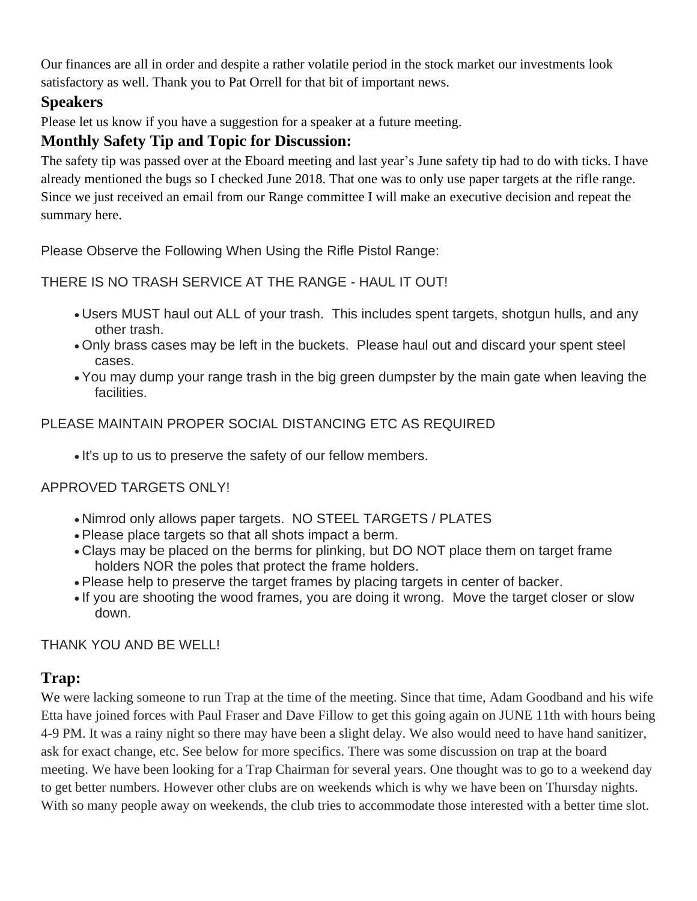Our finances are all in order and despite a rather volatile period in the stock market our investments look satisfactory as well. Thank you to Pat Orrell for that bit of important news.

### **Speakers**

Please let us know if you have a suggestion for a speaker at a future meeting.

#### **Monthly Safety Tip and Topic for Discussion:**

The safety tip was passed over at the Eboard meeting and last year's June safety tip had to do with ticks. I have already mentioned the bugs so I checked June 2018. That one was to only use paper targets at the rifle range. Since we just received an email from our Range committee I will make an executive decision and repeat the summary here.

Please Observe the Following When Using the Rifle Pistol Range:

THERE IS NO TRASH SERVICE AT THE RANGE - HAUL IT OUT!

- Users MUST haul out ALL of your trash. This includes spent targets, shotgun hulls, and any other trash.
- Only brass cases may be left in the buckets. Please haul out and discard your spent steel cases.
- You may dump your range trash in the big green dumpster by the main gate when leaving the facilities.

PLEASE MAINTAIN PROPER SOCIAL DISTANCING ETC AS REQUIRED

• It's up to us to preserve the safety of our fellow members.

APPROVED TARGETS ONLY!

- Nimrod only allows paper targets. NO STEEL TARGETS / PLATES
- Please place targets so that all shots impact a berm.
- Clays may be placed on the berms for plinking, but DO NOT place them on target frame holders NOR the poles that protect the frame holders.
- Please help to preserve the target frames by placing targets in center of backer.
- If you are shooting the wood frames, you are doing it wrong. Move the target closer or slow down.

THANK YOU AND BE WELL!

## **Trap:**

We were lacking someone to run Trap at the time of the meeting. Since that time, Adam Goodband and his wife Etta have joined forces with Paul Fraser and Dave Fillow to get this going again on JUNE 11th with hours being 4-9 PM. It was a rainy night so there may have been a slight delay. We also would need to have hand sanitizer, ask for exact change, etc. See below for more specifics. There was some discussion on trap at the board meeting. We have been looking for a Trap Chairman for several years. One thought was to go to a weekend day to get better numbers. However other clubs are on weekends which is why we have been on Thursday nights. With so many people away on weekends, the club tries to accommodate those interested with a better time slot.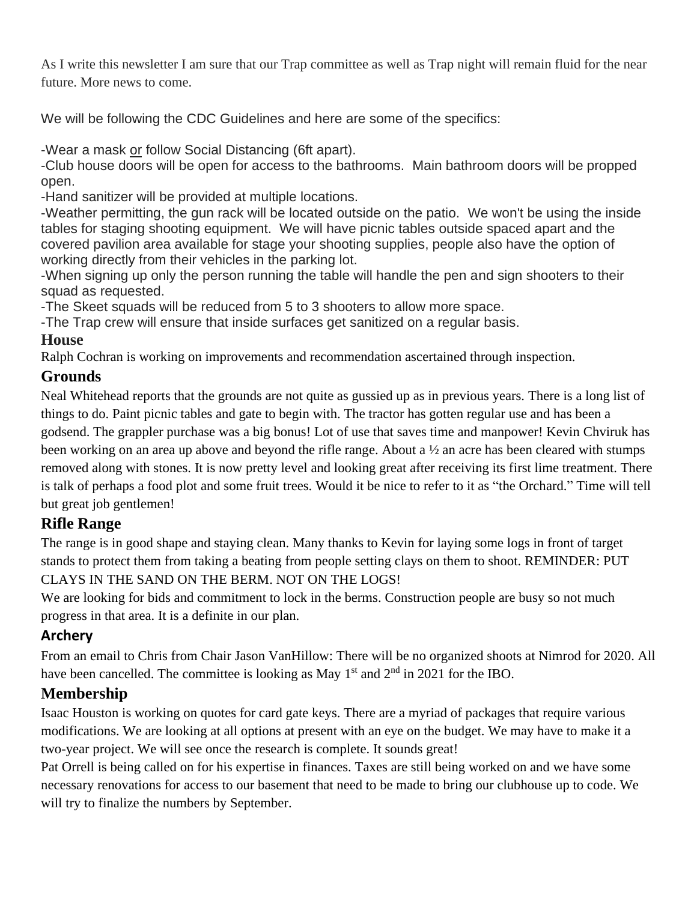As I write this newsletter I am sure that our Trap committee as well as Trap night will remain fluid for the near future. More news to come.

We will be following the CDC Guidelines and here are some of the specifics:

-Wear a mask or follow Social Distancing (6ft apart).

-Club house doors will be open for access to the bathrooms. Main bathroom doors will be propped open.

-Hand sanitizer will be provided at multiple locations.

-Weather permitting, the gun rack will be located outside on the patio. We won't be using the inside tables for staging shooting equipment. We will have picnic tables outside spaced apart and the covered pavilion area available for stage your shooting supplies, people also have the option of working directly from their vehicles in the parking lot.

-When signing up only the person running the table will handle the pen and sign shooters to their squad as requested.

-The Skeet squads will be reduced from 5 to 3 shooters to allow more space.

-The Trap crew will ensure that inside surfaces get sanitized on a regular basis.

### **House**

Ralph Cochran is working on improvements and recommendation ascertained through inspection.

## **Grounds**

Neal Whitehead reports that the grounds are not quite as gussied up as in previous years. There is a long list of things to do. Paint picnic tables and gate to begin with. The tractor has gotten regular use and has been a godsend. The grappler purchase was a big bonus! Lot of use that saves time and manpower! Kevin Chviruk has been working on an area up above and beyond the rifle range. About a ½ an acre has been cleared with stumps removed along with stones. It is now pretty level and looking great after receiving its first lime treatment. There is talk of perhaps a food plot and some fruit trees. Would it be nice to refer to it as "the Orchard." Time will tell but great job gentlemen!

## **Rifle Range**

The range is in good shape and staying clean. Many thanks to Kevin for laying some logs in front of target stands to protect them from taking a beating from people setting clays on them to shoot. REMINDER: PUT CLAYS IN THE SAND ON THE BERM. NOT ON THE LOGS!

We are looking for bids and commitment to lock in the berms. Construction people are busy so not much progress in that area. It is a definite in our plan.

# **Archery**

From an email to Chris from Chair Jason VanHillow: There will be no organized shoots at Nimrod for 2020. All have been cancelled. The committee is looking as May  $1<sup>st</sup>$  and  $2<sup>nd</sup>$  in 2021 for the IBO.

# **Membership**

Isaac Houston is working on quotes for card gate keys. There are a myriad of packages that require various modifications. We are looking at all options at present with an eye on the budget. We may have to make it a two-year project. We will see once the research is complete. It sounds great!

Pat Orrell is being called on for his expertise in finances. Taxes are still being worked on and we have some necessary renovations for access to our basement that need to be made to bring our clubhouse up to code. We will try to finalize the numbers by September.